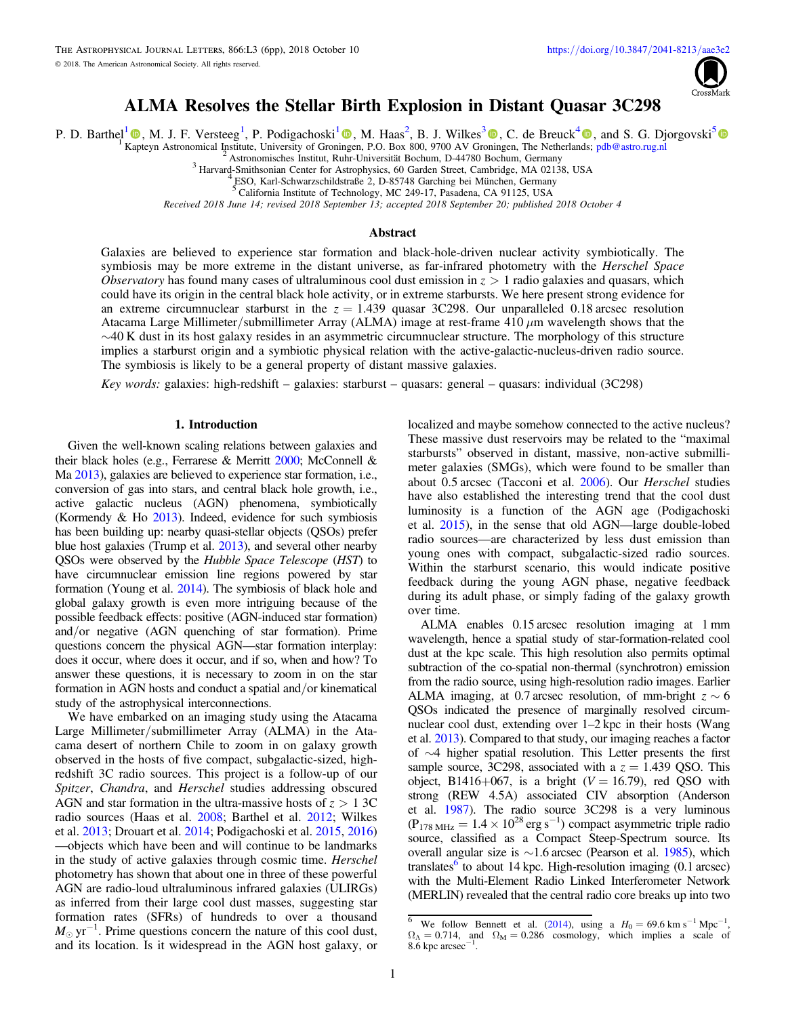

# ALMA Resolves the Stellar Birth Explosion in Distant Quasar 3C298

P. D. Barthel<sup>[1](https://orcid.org/0000-0003-3836-710X)</sup>  $\Phi$ , M. J. F. Versteeg<sup>1</sup>, P. Podigachoski<sup>1</sup>  $\Phi$ , M. Haas<sup>2</sup>, B. J. Wilkes<sup>[3](https://orcid.org/0000-0003-1809-2364)</sup>  $\Phi$ , C. de Breuck<sup>[4](https://orcid.org/0000-0002-6637-3315)</sup>  $\Phi$ , and S. G. Djorgovski<sup>[5](https://orcid.org/0000-0002-0603-3087)</sup>

[Kap](https://orcid.org/0000-0002-0106-5776)teyn Astronomical Institute, University of Gron[inge](https://orcid.org/0000-0003-3836-710X)n, P.O. Box 800, 9700 AV Gr[onin](https://orcid.org/0000-0003-1809-2364)gen, The Netherlan[ds;](https://orcid.org/0000-0002-6637-3315) [pdb@astro.rug.nl](mailto:pdb@astro.rug.nl)<br>
<sup>2</sup> Astronomisches Institut, Ruhr-Universität Bochum, D-44780 Bochum, Germany<br>
<sup>3</sup> Harvard-Smiths

<sup>5</sup> California Institute of Technology, MC 249-17, Pasadena, CA 91125, USA

Received 2018 June 14; revised 2018 September 13; accepted 2018 September 20; published 2018 October 4

# Abstract

Galaxies are believed to experience star formation and black-hole-driven nuclear activity symbiotically. The symbiosis may be more extreme in the distant universe, as far-infrared photometry with the Herschel Space Observatory has found many cases of ultraluminous cool dust emission in  $z > 1$  radio galaxies and quasars, which could have its origin in the central black hole activity, or in extreme starbursts. We here present strong evidence for an extreme circumnuclear starburst in the  $z = 1.439$  quasar 3C298. Our unparalleled 0.18 arcsec resolution Atacama Large Millimeter/submillimeter Array (ALMA) image at rest-frame 410  $\mu$ m wavelength shows that the  $\sim$ 40 K dust in its host galaxy resides in an asymmetric circumnuclear structure. The morphology of this structure implies a starburst origin and a symbiotic physical relation with the active-galactic-nucleus-driven radio source. The symbiosis is likely to be a general property of distant massive galaxies.

Key words: galaxies: high-redshift – galaxies: starburst – quasars: general – quasars: individual (3C298)

# 1. Introduction

Given the well-known scaling relations between galaxies and their black holes (e.g., Ferrarese & Merritt [2000](#page-4-0); McConnell & Ma [2013](#page-4-0)), galaxies are believed to experience star formation, i.e., conversion of gas into stars, and central black hole growth, i.e., active galactic nucleus (AGN) phenomena, symbiotically (Kormendy  $&$  Ho  $2013$ ). Indeed, evidence for such symbiosis has been building up: nearby quasi-stellar objects (QSOs) prefer blue host galaxies (Trump et al. [2013](#page-5-0)), and several other nearby QSOs were observed by the Hubble Space Telescope (HST) to have circumnuclear emission line regions powered by star formation (Young et al. [2014](#page-5-0)). The symbiosis of black hole and global galaxy growth is even more intriguing because of the possible feedback effects: positive (AGN-induced star formation) and/or negative (AGN quenching of star formation). Prime questions concern the physical AGN—star formation interplay: does it occur, where does it occur, and if so, when and how? To answer these questions, it is necessary to zoom in on the star formation in AGN hosts and conduct a spatial and/or kinematical study of the astrophysical interconnections.

We have embarked on an imaging study using the Atacama Large Millimeter/submillimeter Array (ALMA) in the Atacama desert of northern Chile to zoom in on galaxy growth observed in the hosts of five compact, subgalactic-sized, highredshift 3C radio sources. This project is a follow-up of our Spitzer, Chandra, and Herschel studies addressing obscured AGN and star formation in the ultra-massive hosts of  $z > 13C$ radio sources (Haas et al. [2008;](#page-4-0) Barthel et al. [2012](#page-4-0); Wilkes et al. [2013](#page-5-0); Drouart et al. [2014;](#page-4-0) Podigachoski et al. [2015,](#page-4-0) [2016](#page-5-0)) —objects which have been and will continue to be landmarks in the study of active galaxies through cosmic time. Herschel photometry has shown that about one in three of these powerful AGN are radio-loud ultraluminous infrared galaxies (ULIRGs) as inferred from their large cool dust masses, suggesting star formation rates (SFRs) of hundreds to over a thousand  $M_{\odot}$  yr<sup>-1</sup>. Prime questions concern the nature of this cool dust, and its location. Is it widespread in the AGN host galaxy, or

localized and maybe somehow connected to the active nucleus? These massive dust reservoirs may be related to the "maximal starbursts" observed in distant, massive, non-active submillimeter galaxies (SMGs), which were found to be smaller than about 0.5 arcsec (Tacconi et al. [2006](#page-5-0)). Our Herschel studies have also established the interesting trend that the cool dust luminosity is a function of the AGN age (Podigachoski et al. [2015](#page-4-0)), in the sense that old AGN—large double-lobed radio sources—are characterized by less dust emission than young ones with compact, subgalactic-sized radio sources. Within the starburst scenario, this would indicate positive feedback during the young AGN phase, negative feedback during its adult phase, or simply fading of the galaxy growth over time.

ALMA enables 0.15 arcsec resolution imaging at 1 mm wavelength, hence a spatial study of star-formation-related cool dust at the kpc scale. This high resolution also permits optimal subtraction of the co-spatial non-thermal (synchrotron) emission from the radio source, using high-resolution radio images. Earlier ALMA imaging, at 0.7 arcsec resolution, of mm-bright  $z \sim 6$ QSOs indicated the presence of marginally resolved circumnuclear cool dust, extending over 1–2 kpc in their hosts (Wang et al. [2013](#page-5-0)). Compared to that study, our imaging reaches a factor of ∼4 higher spatial resolution. This Letter presents the first sample source, 3C298, associated with a  $z = 1.439$  QSO. This object, B1416+067, is a bright  $(V = 16.79)$ , red QSO with strong (REW 4.5A) associated CIV absorption (Anderson et al. [1987](#page-4-0)). The radio source 3C298 is a very luminous  $(P_{178 \text{ MHz}} = 1.4 \times 10^{28} \text{ erg s}^{-1})$  compact asymmetric triple radio source, classified as a Compact Steep-Spectrum source. Its overall angular size is ∼1.6 arcsec (Pearson et al. [1985](#page-4-0)), which translates $\degree$  to about 14 kpc. High-resolution imaging (0.1 arcsec) with the Multi-Element Radio Linked Interferometer Network (MERLIN) revealed that the central radio core breaks up into two

<sup>&</sup>lt;sup>6</sup> We follow Bennett et al. ([2014](#page-4-0)), using a  $H_0 = 69.6 \text{ km s}^{-1} \text{ Mpc}^{-1}$ ,  $\Omega_{\Lambda} = 0.714$ , and  $\Omega_{\text{M}} = 0.286$  cosmology, which implies a scale of  $8.\overline{6}$  kpc arcsec<sup>-1</sup>.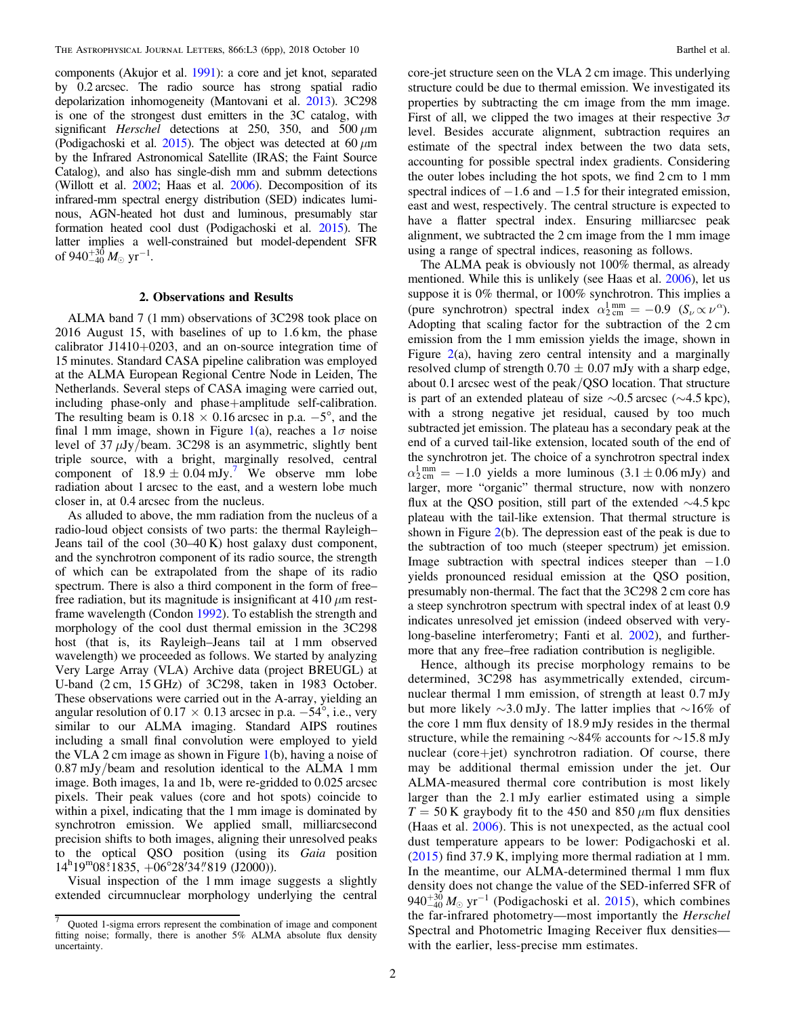components (Akujor et al. [1991](#page-4-0)): a core and jet knot, separated by 0.2 arcsec. The radio source has strong spatial radio depolarization inhomogeneity (Mantovani et al. [2013](#page-4-0)). 3C298 is one of the strongest dust emitters in the 3C catalog, with significant Herschel detections at 250, 350, and 500  $\mu$ m (Podigachoski et al. [2015](#page-4-0)). The object was detected at 60  $\mu$ m by the Infrared Astronomical Satellite (IRAS; the Faint Source Catalog), and also has single-dish mm and submm detections (Willott et al. [2002;](#page-5-0) Haas et al. [2006](#page-4-0)). Decomposition of its infrared-mm spectral energy distribution (SED) indicates luminous, AGN-heated hot dust and luminous, presumably star formation heated cool dust (Podigachoski et al. [2015](#page-4-0)). The latter implies a well-constrained but model-dependent SFR of 940 $^{+30}_{-40}$  *M*<sub>☉</sub> yr<sup>-1</sup>.

### 2. Observations and Results

ALMA band 7 (1 mm) observations of 3C298 took place on 2016 August 15, with baselines of up to 1.6 km, the phase calibrator J1410+0203, and an on-source integration time of 15 minutes. Standard CASA pipeline calibration was employed at the ALMA European Regional Centre Node in Leiden, The Netherlands. Several steps of CASA imaging were carried out, including phase-only and phase+amplitude self-calibration. The resulting beam is  $0.18 \times 0.16$  arcsec in p.a.  $-5^{\circ}$ , and the final [1](#page-2-0) mm image, shown in Figure 1(a), reaches a  $1\sigma$  noise level of  $37 \mu$ Jy/beam. 3C298 is an asymmetric, slightly bent triple source, with a bright, marginally resolved, central component of  $18.9 \pm 0.04$  mJy.<sup>7</sup> We observe mm lobe radiation about 1 arcsec to the east, and a western lobe much closer in, at 0.4 arcsec from the nucleus.

As alluded to above, the mm radiation from the nucleus of a radio-loud object consists of two parts: the thermal Rayleigh– Jeans tail of the cool (30–40 K) host galaxy dust component, and the synchrotron component of its radio source, the strength of which can be extrapolated from the shape of its radio spectrum. There is also a third component in the form of free– free radiation, but its magnitude is insignificant at 410  $\mu$ m restframe wavelength (Condon [1992](#page-4-0)). To establish the strength and morphology of the cool dust thermal emission in the 3C298 host (that is, its Rayleigh–Jeans tail at 1 mm observed wavelength) we proceeded as follows. We started by analyzing Very Large Array (VLA) Archive data (project BREUGL) at U-band (2 cm, 15 GHz) of 3C298, taken in 1983 October. These observations were carried out in the A-array, yielding an angular resolution of 0.17  $\times$  0.13 arcsec in p.a.  $-54^{\circ}$ , i.e., very similar to our ALMA imaging. Standard AIPS routines including a small final convolution were employed to yield the VLA 2 cm image as shown in Figure [1](#page-2-0)(b), having a noise of 0.87 mJy/beam and resolution identical to the ALMA 1 mm image. Both images, 1a and 1b, were re-gridded to 0.025 arcsec pixels. Their peak values (core and hot spots) coincide to within a pixel, indicating that the 1 mm image is dominated by synchrotron emission. We applied small, milliarcsecond precision shifts to both images, aligning their unresolved peaks to the optical QSO position (using its Gaia position  $14^h19^m08^s1835, +06^o28^t34''819$  (J2000)).

Visual inspection of the 1 mm image suggests a slightly extended circumnuclear morphology underlying the central core-jet structure seen on the VLA 2 cm image. This underlying structure could be due to thermal emission. We investigated its properties by subtracting the cm image from the mm image. First of all, we clipped the two images at their respective  $3\sigma$ level. Besides accurate alignment, subtraction requires an estimate of the spectral index between the two data sets, accounting for possible spectral index gradients. Considering the outer lobes including the hot spots, we find 2 cm to 1 mm spectral indices of  $-1.6$  and  $-1.5$  for their integrated emission, east and west, respectively. The central structure is expected to have a flatter spectral index. Ensuring milliarcsec peak alignment, we subtracted the 2 cm image from the 1 mm image using a range of spectral indices, reasoning as follows.

The ALMA peak is obviously not 100% thermal, as already mentioned. While this is unlikely (see Haas et al. [2006](#page-4-0)), let us suppose it is 0% thermal, or 100% synchrotron. This implies a (pure synchrotron) spectral index  $\alpha_{2 \text{ cm}}^{1 \text{ mm}} = -0.9 \text{ } (S_{\nu} \propto \nu^{\alpha}).$ Adopting that scaling factor for the subtraction of the 2 cm emission from the 1 mm emission yields the image, shown in Figure  $2(a)$  $2(a)$ , having zero central intensity and a marginally resolved clump of strength  $0.70 \pm 0.07$  mJy with a sharp edge, about 0.1 arcsec west of the peak/QSO location. That structure is part of an extended plateau of size ∼0.5 arcsec (∼4.5 kpc), with a strong negative jet residual, caused by too much subtracted jet emission. The plateau has a secondary peak at the end of a curved tail-like extension, located south of the end of the synchrotron jet. The choice of a synchrotron spectral index  $\alpha_{2 \text{ cm}}^{1 \text{ mm}} = -1.0$  yields a more luminous (3.1  $\pm$  0.06 mJy) and larger, more "organic" thermal structure, now with nonzero flux at the QSO position, still part of the extended ∼4.5 kpc plateau with the tail-like extension. That thermal structure is shown in Figure  $2(b)$  $2(b)$ . The depression east of the peak is due to the subtraction of too much (steeper spectrum) jet emission. Image subtraction with spectral indices steeper than  $-1.0$ yields pronounced residual emission at the QSO position, presumably non-thermal. The fact that the 3C298 2 cm core has a steep synchrotron spectrum with spectral index of at least 0.9 indicates unresolved jet emission (indeed observed with verylong-baseline interferometry; Fanti et al. [2002](#page-4-0)), and furthermore that any free–free radiation contribution is negligible.

Hence, although its precise morphology remains to be determined, 3C298 has asymmetrically extended, circumnuclear thermal 1 mm emission, of strength at least 0.7 mJy but more likely ∼3.0 mJy. The latter implies that ∼16% of the core 1 mm flux density of 18.9 mJy resides in the thermal structure, while the remaining ∼84% accounts for ∼15.8 mJy nuclear (core+jet) synchrotron radiation. Of course, there may be additional thermal emission under the jet. Our ALMA-measured thermal core contribution is most likely larger than the 2.1 mJy earlier estimated using a simple  $T = 50$  K graybody fit to the 450 and 850  $\mu$ m flux densities (Haas et al. [2006](#page-4-0)). This is not unexpected, as the actual cool dust temperature appears to be lower: Podigachoski et al. ([2015](#page-4-0)) find 37.9 K, implying more thermal radiation at 1 mm. In the meantime, our ALMA-determined thermal 1 mm flux density does not change the value of the SED-inferred SFR of  $940^{+30}_{-40} M_{\odot}$  yr<sup>-1</sup> (Podigachoski et al. [2015](#page-4-0)), which combines the far-infrared photometry—most importantly the Herschel Spectral and Photometric Imaging Receiver flux densities with the earlier, less-precise mm estimates.

<sup>7</sup> Quoted 1-sigma errors represent the combination of image and component fitting noise; formally, there is another 5% ALMA absolute flux density uncertainty.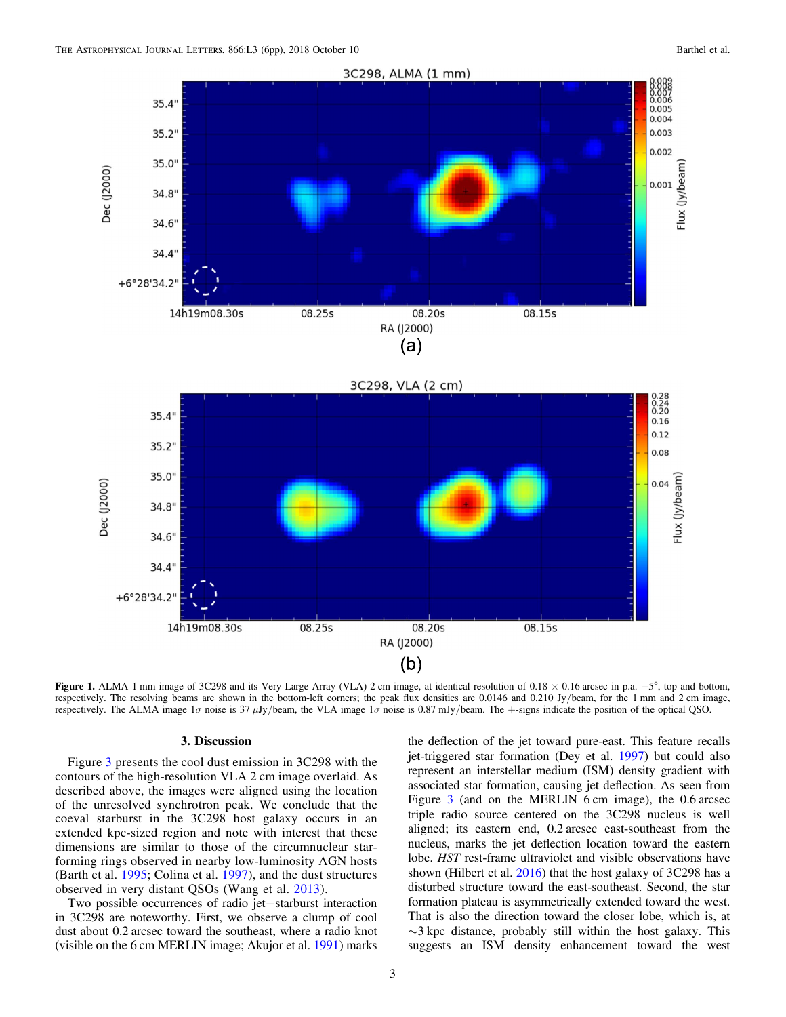<span id="page-2-0"></span>



Figure 1. ALMA 1 mm image of 3C298 and its Very Large Array (VLA) 2 cm image, at identical resolution of 0.18 × 0.16 arcsec in p.a. −5°, top and bottom, respectively. The resolving beams are shown in the bottom-left corners; the peak flux densities are 0.0146 and 0.210 Jy/beam, for the 1 mm and 2 cm image, respectively. The ALMA image 1 $\sigma$  noise is 37  $\mu$ Jy/beam, the VLA image 1 $\sigma$  noise is 0.87 mJy/beam. The +-signs indicate the position of the optical QSO.

## 3. Discussion

Figure [3](#page-4-0) presents the cool dust emission in 3C298 with the contours of the high-resolution VLA 2 cm image overlaid. As described above, the images were aligned using the location of the unresolved synchrotron peak. We conclude that the coeval starburst in the 3C298 host galaxy occurs in an extended kpc-sized region and note with interest that these dimensions are similar to those of the circumnuclear starforming rings observed in nearby low-luminosity AGN hosts (Barth et al. [1995;](#page-4-0) Colina et al. [1997](#page-4-0)), and the dust structures observed in very distant QSOs (Wang et al. [2013](#page-5-0)).

Two possible occurrences of radio jet−starburst interaction in 3C298 are noteworthy. First, we observe a clump of cool dust about 0.2 arcsec toward the southeast, where a radio knot (visible on the 6 cm MERLIN image; Akujor et al. [1991](#page-4-0)) marks

the deflection of the jet toward pure-east. This feature recalls jet-triggered star formation (Dey et al. [1997](#page-4-0)) but could also represent an interstellar medium (ISM) density gradient with associated star formation, causing jet deflection. As seen from Figure [3](#page-4-0) (and on the MERLIN 6 cm image), the 0.6 arcsec triple radio source centered on the 3C298 nucleus is well aligned; its eastern end, 0.2 arcsec east-southeast from the nucleus, marks the jet deflection location toward the eastern lobe. HST rest-frame ultraviolet and visible observations have shown (Hilbert et al. [2016](#page-4-0)) that the host galaxy of 3C298 has a disturbed structure toward the east-southeast. Second, the star formation plateau is asymmetrically extended toward the west. That is also the direction toward the closer lobe, which is, at  $\sim$ 3 kpc distance, probably still within the host galaxy. This suggests an ISM density enhancement toward the west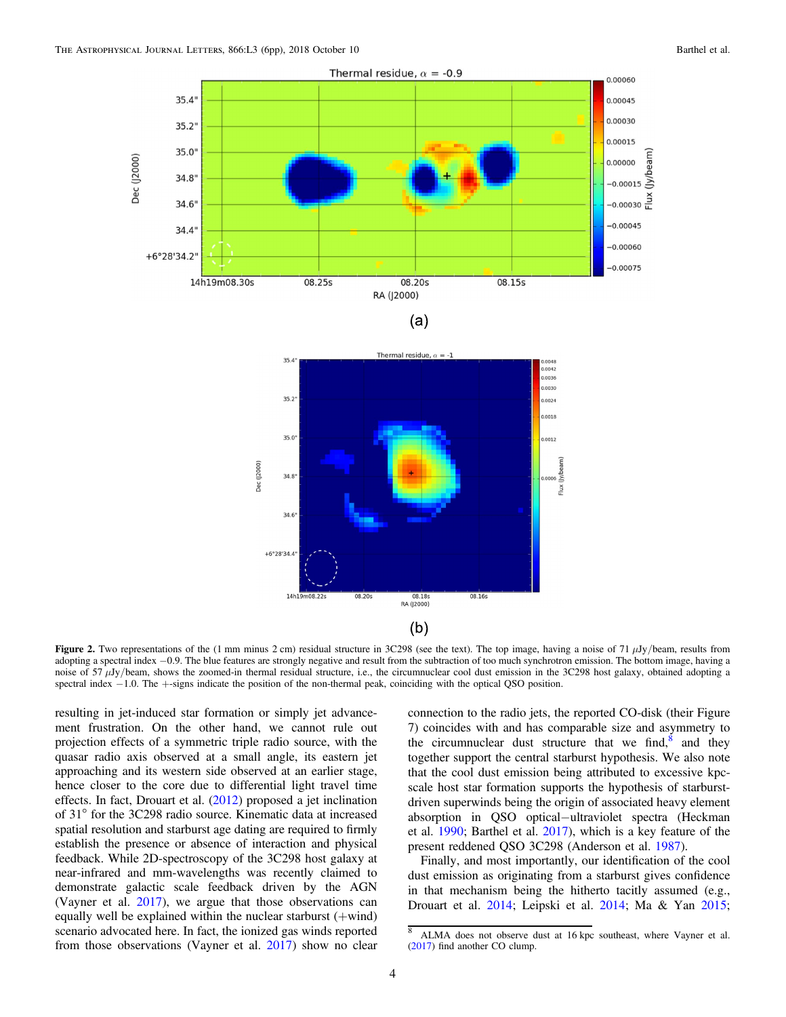<span id="page-3-0"></span>



Figure 2. Two representations of the (1 mm minus 2 cm) residual structure in 3C298 (see the text). The top image, having a noise of 71  $\mu$ Jy/beam, results from adopting a spectral index −0.9. The blue features are strongly negative and result from the subtraction of too much synchrotron emission. The bottom image, having a noise of 57 μJy/beam, shows the zoomed-in thermal residual structure, i.e., the circumnuclear cool dust emission in the 3C298 host galaxy, obtained adopting a spectral index −1.0. The +-signs indicate the position of the non-thermal peak, coinciding with the optical QSO position.

resulting in jet-induced star formation or simply jet advancement frustration. On the other hand, we cannot rule out projection effects of a symmetric triple radio source, with the quasar radio axis observed at a small angle, its eastern jet approaching and its western side observed at an earlier stage, hence closer to the core due to differential light travel time effects. In fact, Drouart et al. ([2012](#page-4-0)) proposed a jet inclination of 31° for the 3C298 radio source. Kinematic data at increased spatial resolution and starburst age dating are required to firmly establish the presence or absence of interaction and physical feedback. While 2D-spectroscopy of the 3C298 host galaxy at near-infrared and mm-wavelengths was recently claimed to demonstrate galactic scale feedback driven by the AGN (Vayner et al. [2017](#page-5-0)), we argue that those observations can equally well be explained within the nuclear starburst (+wind) scenario advocated here. In fact, the ionized gas winds reported from those observations (Vayner et al. [2017](#page-5-0)) show no clear

connection to the radio jets, the reported CO-disk (their Figure 7) coincides with and has comparable size and asymmetry to the circumnuclear dust structure that we find, $\frac{8}{3}$  and they together support the central starburst hypothesis. We also note that the cool dust emission being attributed to excessive kpcscale host star formation supports the hypothesis of starburstdriven superwinds being the origin of associated heavy element absorption in QSO optical−ultraviolet spectra (Heckman et al. [1990](#page-4-0); Barthel et al. [2017](#page-4-0)), which is a key feature of the present reddened QSO 3C298 (Anderson et al. [1987](#page-4-0)).

jylbe

Finally, and most importantly, our identification of the cool dust emission as originating from a starburst gives confidence in that mechanism being the hitherto tacitly assumed (e.g., Drouart et al. [2014](#page-4-0); Leipski et al. [2014](#page-4-0); Ma & Yan [2015](#page-4-0);

ALMA does not observe dust at 16 kpc southeast, where Vayner et al. ([2017](#page-5-0)) find another CO clump.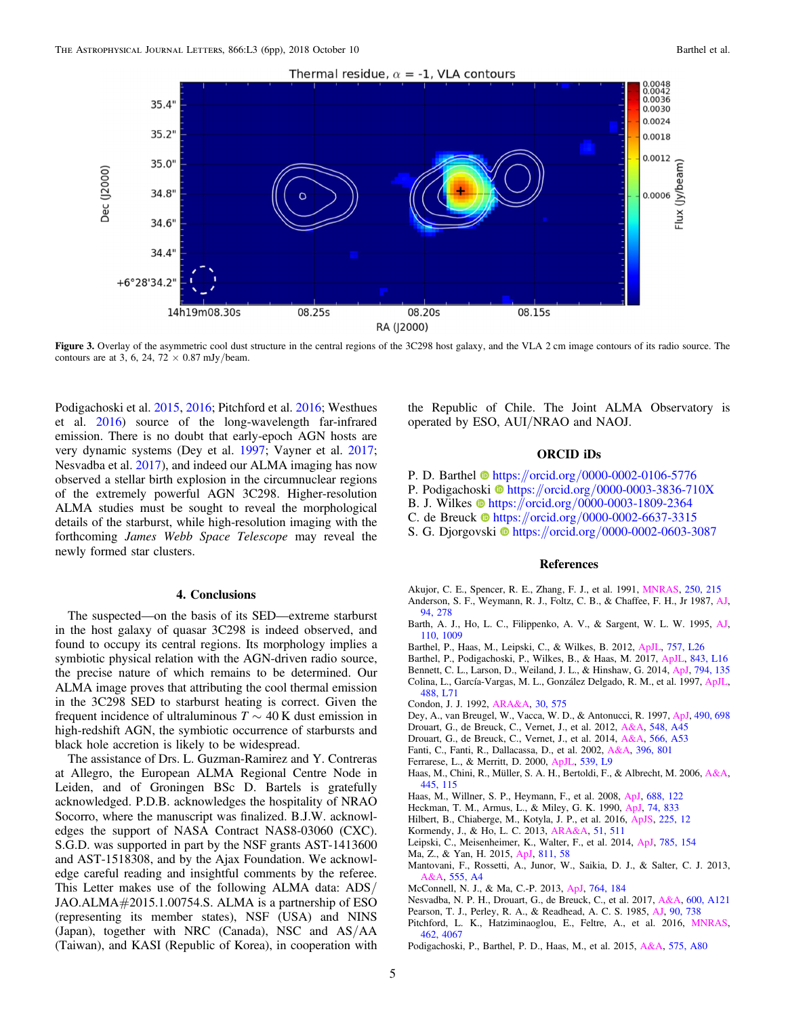<span id="page-4-0"></span>

Figure 3. Overlay of the asymmetric cool dust structure in the central regions of the 3C298 host galaxy, and the VLA 2 cm image contours of its radio source. The contours are at 3, 6, 24, 72  $\times$  0.87 mJy/beam.

Podigachoski et al. 2015, [2016;](#page-5-0) Pitchford et al. 2016; Westhues et al. [2016](#page-5-0)) source of the long-wavelength far-infrared emission. There is no doubt that early-epoch AGN hosts are very dynamic systems (Dey et al. 1997; Vayner et al. [2017](#page-5-0); Nesvadba et al. 2017), and indeed our ALMA imaging has now observed a stellar birth explosion in the circumnuclear regions of the extremely powerful AGN 3C298. Higher-resolution ALMA studies must be sought to reveal the morphological details of the starburst, while high-resolution imaging with the forthcoming James Webb Space Telescope may reveal the newly formed star clusters.

# 4. Conclusions

The suspected—on the basis of its SED—extreme starburst in the host galaxy of quasar 3C298 is indeed observed, and found to occupy its central regions. Its morphology implies a symbiotic physical relation with the AGN-driven radio source, the precise nature of which remains to be determined. Our ALMA image proves that attributing the cool thermal emission in the 3C298 SED to starburst heating is correct. Given the frequent incidence of ultraluminous  $T \sim 40$  K dust emission in high-redshift AGN, the symbiotic occurrence of starbursts and black hole accretion is likely to be widespread.

The assistance of Drs. L. Guzman-Ramirez and Y. Contreras at Allegro, the European ALMA Regional Centre Node in Leiden, and of Groningen BSc D. Bartels is gratefully acknowledged. P.D.B. acknowledges the hospitality of NRAO Socorro, where the manuscript was finalized. B.J.W. acknowledges the support of NASA Contract NAS8-03060 (CXC). S.G.D. was supported in part by the NSF grants AST-1413600 and AST-1518308, and by the Ajax Foundation. We acknowledge careful reading and insightful comments by the referee. This Letter makes use of the following ALMA data: ADS/ JAO.ALMA#2015.1.00754.S. ALMA is a partnership of ESO (representing its member states), NSF (USA) and NINS (Japan), together with NRC (Canada), NSC and AS/AA (Taiwan), and KASI (Republic of Korea), in cooperation with

the Republic of Chile. The Joint ALMA Observatory is operated by ESO, AUI/NRAO and NAOJ.

# ORCID iDs

- P. D. Barthe[l](https://orcid.org/0000-0002-0106-5776) **[https:](https://orcid.org/0000-0002-0106-5776)//orcid.org/[0000-0002-0106-5776](https://orcid.org/0000-0002-0106-5776)**
- P. Podigachoski @ [https:](https://orcid.org/0000-0003-3836-710X)//orcid.org/[0000-0003-3836-710X](https://orcid.org/0000-0003-3836-710X)
- B. J. Wilkes  $\bullet$  [https:](https://orcid.org/0000-0003-1809-2364)//orcid.org/[0000-0003-1809-2364](https://orcid.org/0000-0003-1809-2364)
- C. de Breuck  $\bullet$  [https:](https://orcid.org/0000-0002-6637-3315)//orcid.org/[0000-0002-6637-3315](https://orcid.org/0000-0002-6637-3315)
- S. G. Djorgovski  $\bullet$  [https:](https://orcid.org/0000-0002-0603-3087)//orcid.org/[0000-0002-0603-3087](https://orcid.org/0000-0002-0603-3087)

#### References

- Akujor, C. E., Spencer, R. E., Zhang, F. J., et al. 1991, [MNRAS,](https://doi.org/10.1093/mnras/250.1.215) [250, 215](http://adsabs.harvard.edu/abs/1991MNRAS.250..215A) Anderson, S. F., Weymann, R. J., Foltz, C. B., & Chaffee, F. H., Jr 1987, [AJ](https://doi.org/10.1086/114468)[,](http://adsabs.harvard.edu/abs/1987AJ.....94..278A) [94, 278](http://adsabs.harvard.edu/abs/1987AJ.....94..278A)
- Barth, A. J., Ho, L. C., Filippenko, A. V., & Sargent, W. L. W. 1995, [AJ](https://doi.org/10.1086/117580)[,](http://adsabs.harvard.edu/abs/1995AJ....110.1009B) [110, 1009](http://adsabs.harvard.edu/abs/1995AJ....110.1009B)
- Barthel, P., Haas, M., Leipski, C., & Wilkes, B. 2012, [ApJL](https://doi.org/10.1088/2041-8205/757/2/L26), [757, L26](http://adsabs.harvard.edu/abs/2012ApJ...757L..26B)
- Barthel, P., Podigachoski, P., Wilkes, B., & Haas, M. 2017, [ApJL](https://doi.org/10.3847/2041-8213/aa7631), [843, L16](http://adsabs.harvard.edu/abs/2017ApJ...843L..16B)
- Bennett, C. L., Larson, D., Weiland, J. L., & Hinshaw, G. 2014, [ApJ,](https://doi.org/10.1088/0004-637X/794/2/135) [794, 135](http://adsabs.harvard.edu/abs/2014ApJ...794..135B)
- Colina, L., García-Vargas, M. L., González Delgado, R. M., et al. 1997, [ApJL](https://doi.org/10.1086/310945)[,](http://adsabs.harvard.edu/abs/1997ApJ...488L..71C) [488, L71](http://adsabs.harvard.edu/abs/1997ApJ...488L..71C)
- Condon, J. J. 1992, [ARA&A](https://doi.org/10.1146/annurev.aa.30.090192.003043), [30, 575](http://adsabs.harvard.edu/abs/1992ARA&A..30..575C)
- Dey, A., van Breugel, W., Vacca, W. D., & Antonucci, R. 1997, [ApJ,](https://doi.org/10.1086/304911) [490, 698](http://adsabs.harvard.edu/abs/1997ApJ...490..698D)
- Drouart, G., de Breuck, C., Vernet, J., et al. 2012, [A&A,](https://doi.org/10.1051/0004-6361/201220059) [548, A45](http://adsabs.harvard.edu/abs/2012A&A...548A..45D)
- Drouart, G., de Breuck, C., Vernet, J., et al. 2014, [A&A,](https://doi.org/10.1051/0004-6361/201323310) [566, A53](http://adsabs.harvard.edu/abs/2014A&A...566A..53D)
- Fanti, C., Fanti, R., Dallacassa, D., et al. 2002, [A&A,](https://doi.org/10.1051/0004-6361:20021410) [396, 801](http://adsabs.harvard.edu/abs/2002A&A...396..801F)
- Ferrarese, L., & Merritt, D. 2000, [ApJL](https://doi.org/10.1086/312838), [539, L9](http://adsabs.harvard.edu/abs/2000ApJ...539L...9F)
- Haas, M., Chini, R., Müller, S. A. H., Bertoldi, F., & Albrecht, M. 2006, [A&A](https://doi.org/10.1051/0004-6361:20054121)[,](http://adsabs.harvard.edu/abs/2006A&A...445..115H) [445, 115](http://adsabs.harvard.edu/abs/2006A&A...445..115H)
- Haas, M., Willner, S. P., Heymann, F., et al. 2008, [ApJ](https://doi.org/10.1086/592085), [688, 122](http://adsabs.harvard.edu/abs/2008ApJ...688..122H)
- Heckman, T. M., Armus, L., & Miley, G. K. 1990, [ApJ](https://doi.org/10.1086/191522), [74, 833](http://adsabs.harvard.edu/abs/1990ApJS...74..833H)
- Hilbert, B., Chiaberge, M., Kotyla, J. P., et al. 2016, [ApJS,](https://doi.org/10.3847/0067-0049/225/1/12) [225, 12](http://adsabs.harvard.edu/abs/2016ApJS..225...12H)
- Kormendy, J., & Ho, L. C. 2013, [ARA&A,](https://doi.org/10.1146/annurev-astro-082708-101811) [51, 511](http://adsabs.harvard.edu/abs/2013ARA&A..51..511K)
- Leipski, C., Meisenheimer, K., Walter, F., et al. 2014, [ApJ](https://doi.org/10.1088/0004-637X/785/2/154), [785, 154](http://adsabs.harvard.edu/abs/2014ApJ...785..154L)
- Ma, Z., & Yan, H. 2015, [ApJ,](https://doi.org/10.1088/0004-637X/811/1/58) [811, 58](http://adsabs.harvard.edu/abs/2015ApJ...811...58M)
- Mantovani, F., Rossetti, A., Junor, W., Saikia, D. J., & Salter, C. J. 2013,  $A, 555, A4$  $A, 555, A4$
- McConnell, N. J., & Ma, C.-P. 2013, [ApJ,](https://doi.org/10.1088/0004-637X/764/2/184) [764, 184](http://adsabs.harvard.edu/abs/2013ApJ...764..184M)
- Nesvadba, N. P. H., Drouart, G., de Breuck, C., et al. 2017, [A&A,](https://doi.org/10.1051/0004-6361/201629357) [600, A121](http://adsabs.harvard.edu/abs/2017A&A...600A.121N)
- Pearson, T. J., Perley, R. A., & Readhead, A. C. S. 1985, [AJ](https://doi.org/10.1086/113782), [90, 738](http://adsabs.harvard.edu/abs/1985AJ.....90..738P)
- Pitchford, L. K., Hatziminaoglou, E., Feltre, A., et al. 2016, [MNRAS](https://doi.org/10.1093/mnras/stw1840)[,](http://adsabs.harvard.edu/abs/2016MNRAS.462.4067P) [462, 4067](http://adsabs.harvard.edu/abs/2016MNRAS.462.4067P)
- Podigachoski, P., Barthel, P. D., Haas, M., et al. 2015, [A&A](https://doi.org/10.1051/0004-6361/201425137), [575, A80](http://adsabs.harvard.edu/abs/2015A&A...575A..80P)